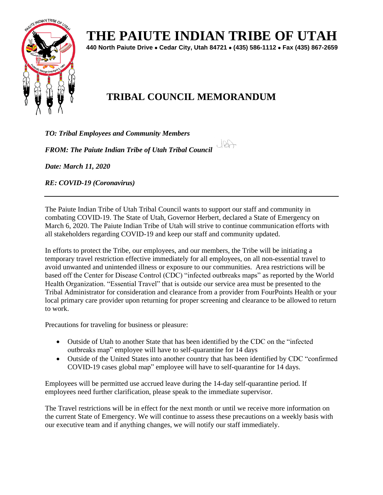

## **THE PAIUTE INDIAN TRIBE OF UTAH**

**440 North Paiute Drive** • **Cedar City, Utah 84721** • **(435) 586-1112** • **Fax (435) 867-2659** 

 $J22$ 

## **TRIBAL COUNCIL MEMORANDUM**

*TO: Tribal Employees and Community Members* 

*FROM: The Paiute Indian Tribe of Utah Tribal Council* 



*RE: COVID-19 (Coronavirus)* 

The Paiute Indian Tribe of Utah Tribal Council wants to support our staff and community in combating COVID-19. The State of Utah, Governor Herbert, declared a State of Emergency on March 6, 2020. The Paiute Indian Tribe of Utah will strive to continue communication efforts with all stakeholders regarding COVID-19 and keep our staff and community updated.

In efforts to protect the Tribe, our employees, and our members, the Tribe will be initiating a temporary travel restriction effective immediately for all employees, on all non-essential travel to avoid unwanted and unintended illness or exposure to our communities. Area restrictions will be based off the Center for Disease Control (CDC) "infected outbreaks maps" as reported by the World Health Organization. "Essential Travel" that is outside our service area must be presented to the Tribal Administrator for consideration and clearance from a provider from FourPoints Health or your local primary care provider upon returning for proper screening and clearance to be allowed to return to work.

Precautions for traveling for business or pleasure:

- Outside of Utah to another State that has been identified by the CDC on the "infected outbreaks map" employee will have to self-quarantine for 14 days
- Outside of the United States into another country that has been identified by CDC "confirmed COVID-19 cases global map" employee will have to self-quarantine for 14 days.

Employees will be permitted use accrued leave during the 14-day self-quarantine period. If employees need further clarification, please speak to the immediate supervisor.

The Travel restrictions will be in effect for the next month or until we receive more information on the current State of Emergency. We will continue to assess these precautions on a weekly basis with our executive team and if anything changes, we will notify our staff immediately.